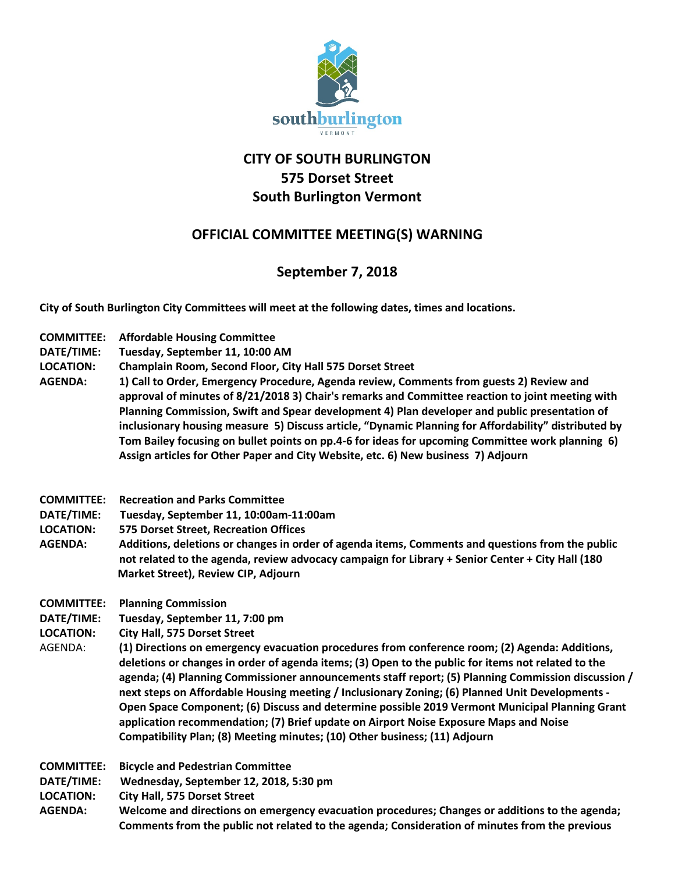

## **CITY OF SOUTH BURLINGTON 575 Dorset Street South Burlington Vermont**

## **OFFICIAL COMMITTEE MEETING(S) WARNING**

## **September 7, 2018**

**City of South Burlington City Committees will meet at the following dates, times and locations.** 

- **COMMITTEE: Affordable Housing Committee**
- **DATE/TIME: Tuesday, September 11, 10:00 AM**
- **LOCATION: Champlain Room, Second Floor, City Hall 575 Dorset Street**
- **AGENDA: 1) Call to Order, Emergency Procedure, Agenda review, Comments from guests 2) Review and approval of minutes of 8/21/2018 3) Chair's remarks and Committee reaction to joint meeting with Planning Commission, Swift and Spear development 4) Plan developer and public presentation of inclusionary housing measure 5) Discuss article, "Dynamic Planning for Affordability" distributed by Tom Bailey focusing on bullet points on pp.4-6 for ideas for upcoming Committee work planning 6) Assign articles for Other Paper and City Website, etc. 6) New business 7) Adjourn**
- **COMMITTEE: Recreation and Parks Committee**
- **DATE/TIME: Tuesday, September 11, 10:00am-11:00am**
- **LOCATION: 575 Dorset Street, Recreation Offices**
- **AGENDA: Additions, deletions or changes in order of agenda items, Comments and questions from the public not related to the agenda, review advocacy campaign for Library + Senior Center + City Hall (180 Market Street), Review CIP, Adjourn**
- **COMMITTEE: Planning Commission**
- **DATE/TIME: Tuesday, September 11, 7:00 pm**
- **LOCATION: City Hall, 575 Dorset Street**
- AGENDA: **(1) Directions on emergency evacuation procedures from conference room; (2) Agenda: Additions, deletions or changes in order of agenda items; (3) Open to the public for items not related to the agenda; (4) Planning Commissioner announcements staff report; (5) Planning Commission discussion / next steps on Affordable Housing meeting / Inclusionary Zoning; (6) Planned Unit Developments - Open Space Component; (6) Discuss and determine possible 2019 Vermont Municipal Planning Grant application recommendation; (7) Brief update on Airport Noise Exposure Maps and Noise Compatibility Plan; (8) Meeting minutes; (10) Other business; (11) Adjourn**

**COMMITTEE: Bicycle and Pedestrian Committee**

**DATE/TIME: Wednesday, September 12, 2018, 5:30 pm**

**LOCATION: City Hall, 575 Dorset Street**

**AGENDA: Welcome and directions on emergency evacuation procedures; Changes or additions to the agenda; Comments from the public not related to the agenda; Consideration of minutes from the previous**